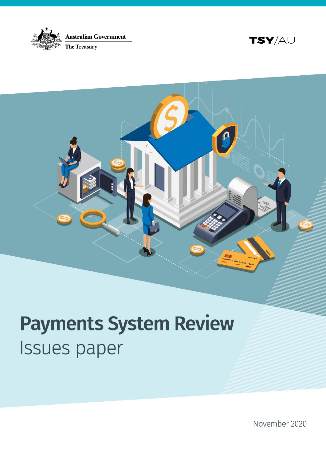





# **Payments System Review Issues paper**

November 2020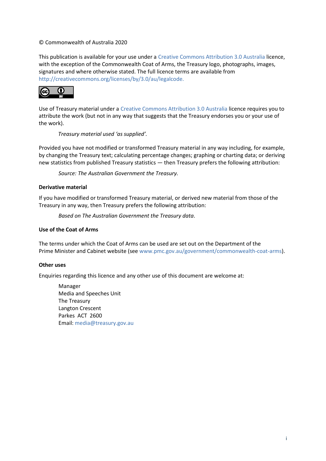#### © Commonwealth of Australia 2020

This publication is available for your use under a [Creative Commons Attribution 3.0 Australia](http://creativecommons.org/licenses/by/3.0/au/deed.en) licence, with the exception of the Commonwealth Coat of Arms, the Treasury logo, photographs, images, signatures and where otherwise stated. The full licence terms are available from [http://creativecommons.org/licenses/by/3.0/au/legalcode.](http://creativecommons.org/licenses/by/3.0/au/legalcode)



Use of Treasury material under a [Creative Commons Attribution 3.0 Australia](http://creativecommons.org/licenses/by/3.0/au/deed.en) licence requires you to attribute the work (but not in any way that suggests that the Treasury endorses you or your use of the work).

*Treasury material used 'as supplied'.*

Provided you have not modified or transformed Treasury material in any way including, for example, by changing the Treasury text; calculating percentage changes; graphing or charting data; or deriving new statistics from published Treasury statistics — then Treasury prefers the following attribution:

*Source: The Australian Government the Treasury.*

#### **Derivative material**

If you have modified or transformed Treasury material, or derived new material from those of the Treasury in any way, then Treasury prefers the following attribution:

*Based on The Australian Government the Treasury data*.

#### **Use of the Coat of Arms**

The terms under which the Coat of Arms can be used are set out on the Department of the Prime Minister and Cabinet website (se[e www.pmc.gov.au/government/commonwealth-coat-arms](http://www.pmc.gov.au/government/commonwealth-coat-arm)).

#### **Other uses**

Enquiries regarding this licence and any other use of this document are welcome at:

Manager Media and Speeches Unit The Treasury Langton Crescent Parkes ACT 2600 Email: [media@treasury.gov.au](mailto:media@treasury.gov.au)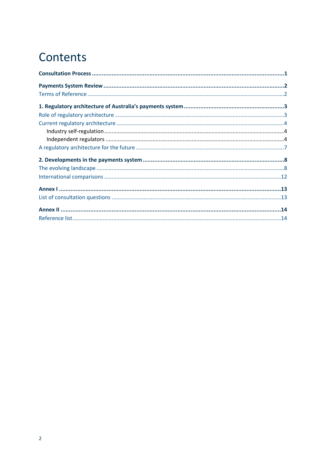# Contents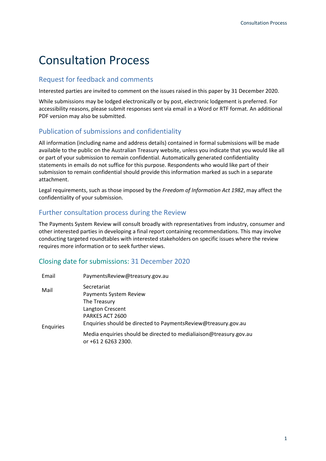# <span id="page-3-0"></span>Consultation Process

#### Request for feedback and comments

Interested parties are invited to comment on the issues raised in this paper by 31 December 2020.

While submissions may be lodged electronically or by post, electronic lodgement is preferred. For accessibility reasons, please submit responses sent via email in a Word or RTF format. An additional PDF version may also be submitted.

#### Publication of submissions and confidentiality

All information (including name and address details) contained in formal submissions will be made available to the public on the Australian Treasury website, unless you indicate that you would like all or part of your submission to remain confidential. Automatically generated confidentiality statements in emails do not suffice for this purpose. Respondents who would like part of their submission to remain confidential should provide this information marked as such in a separate attachment.

Legal requirements, such as those imposed by the *Freedom of Information Act 1982*, may affect the confidentiality of your submission.

#### Further consultation process during the Review

The Payments System Review will consult broadly with representatives from industry, consumer and other interested parties in developing a final report containing recommendations. This may involve conducting targeted roundtables with interested stakeholders on specific issues where the review requires more information or to seek further views.

#### Closing date for submissions: 31 December 2020

| Email     | Payments Review@treasury.gov.au                                                                                        |
|-----------|------------------------------------------------------------------------------------------------------------------------|
| Mail      | Secretariat<br>Payments System Review                                                                                  |
| Enquiries | The Treasury<br>Langton Crescent<br>PARKES ACT 2600<br>Enquiries should be directed to Payments Review@treasury.gov.au |
|           | Media enquiries should be directed to medialiaison@treasury.gov.au<br>or +61 2 6263 2300.                              |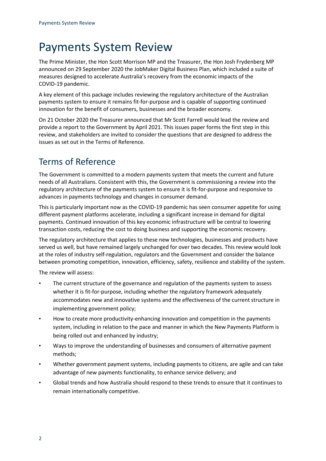# <span id="page-4-0"></span>Payments System Review

The Prime Minister, the Hon Scott Morrison MP and the Treasurer, the Hon Josh Frydenberg MP announced on 29 September 2020 the JobMaker Digital Business Plan, which included a suite of measures designed to accelerate Australia's recovery from the economic impacts of the COVID-19 pandemic.

A key element of this package includes reviewing the regulatory architecture of the Australian payments system to ensure it remains fit-for-purpose and is capable of supporting continued innovation for the benefit of consumers, businesses and the broader economy.

On 21 October 2020 the Treasurer announced that Mr Scott Farrell would lead the review and provide a report to the Government by April 2021. This issues paper forms the first step in this review, and stakeholders are invited to consider the questions that are designed to address the issues as set out in the Terms of Reference.

## <span id="page-4-1"></span>Terms of Reference

The Government is committed to a modern payments system that meets the current and future needs of all Australians. Consistent with this, the Government is commissioning a review into the regulatory architecture of the payments system to ensure it is fit-for-purpose and responsive to advances in payments technology and changes in consumer demand.

This is particularly important now as the COVID-19 pandemic has seen consumer appetite for using different payment platforms accelerate, including a significant increase in demand for digital payments. Continued innovation of this key economic infrastructure will be central to lowering transaction costs, reducing the cost to doing business and supporting the economic recovery.

The regulatory architecture that applies to these new technologies, businesses and products have served us well, but have remained largely unchanged for over two decades. This review would look at the roles of industry self-regulation, regulators and the Government and consider the balance between promoting competition, innovation, efficiency, safety, resilience and stability of the system.

The review will assess:

- The current structure of the governance and regulation of the payments system to assess whether it is fit-for-purpose, including whether the regulatory framework adequately accommodates new and innovative systems and the effectiveness of the current structure in implementing government policy;
- How to create more productivity-enhancing innovation and competition in the payments system, including in relation to the pace and manner in which the New Payments Platform is being rolled out and enhanced by industry;
- Ways to improve the understanding of businesses and consumers of alternative payment methods;
- Whether government payment systems, including payments to citizens, are agile and can take advantage of new payments functionality, to enhance service delivery; and
- Global trends and how Australia should respond to these trends to ensure that it continues to remain internationally competitive.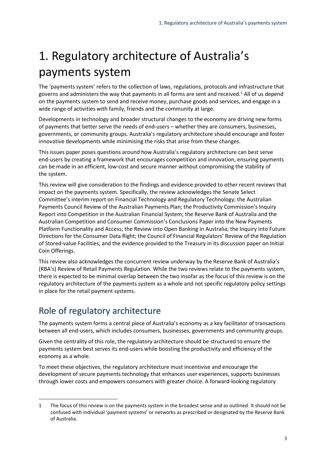# <span id="page-5-0"></span>1. Regulatory architecture of Australia's payments system

The 'payments system' refers to the collection of laws, regulations, protocols and infrastructure that governs and administers the way that payments in all forms are sent and received. $1$  All of us depend on the payments system to send and receive money, purchase goods and services, and engage in a wide range of activities with family, friends and the community at large.

Developments in technology and broader structural changes to the economy are driving new forms of payments that better serve the needs of end-users – whether they are consumers, businesses, governments, or community groups. Australia's regulatory architecture should encourage and foster innovative developments while minimising the risks that arise from these changes.

This issues paper poses questions around how Australia's regulatory architecture can best serve end-users by creating a framework that encourages competition and innovation, ensuring payments can be made in an efficient, low-cost and secure manner without compromising the stability of the system.

This review will give consideration to the findings and evidence provided to other recent reviews that impact on the payments system. Specifically, the review acknowledges the Senate Select Committee's interim report on Financial Technology and Regulatory Technology; the Australian Payments Council Review of the Australian Payments Plan; the Productivity Commission's Inquiry Report into Competition in the Australian Financial System; the Reserve Bank of Australia and the Australian Competition and Consumer Commission's Conclusions Paper into the New Payments Platform Functionality and Access; the Review into Open Banking in Australia; the Inquiry into Future Directions for the Consumer Data Right; the Council of Financial Regulators' Review of the Regulation of Stored-value Facilities; and the evidence provided to the Treasury in its discussion paper on Initial Coin Offerings.

This review also acknowledges the concurrent review underway by the Reserve Bank of Australia's (RBA's) Review of Retail Payments Regulation. While the two reviews relate to the payments system, there is expected to be minimal overlap between the two insofar as the focus of this review is on the regulatory architecture of the payments system as a whole and not specific regulatory policy settings in place for the retail payment systems.

## <span id="page-5-1"></span>Role of regulatory architecture

l

The payments system forms a central piece of Australia's economy as a key facilitator of transactions between all end-users, which includes consumers, businesses, governments and community groups.

Given the centrality of this role, the regulatory architecture should be structured to ensure the payments system best serves its end-users while boosting the productivity and efficiency of the economy as a whole.

To meet these objectives, the regulatory architecture must incentivise and encourage the development of secure payments technology that enhances user experiences, supports businesses through lower costs and empowers consumers with greater choice. A forward-looking regulatory

<span id="page-5-2"></span><sup>1</sup> The focus of this review is on the payments system in the broadest sense and as outlined. It should not be confused with individual 'payment systems' or networks as prescribed or designated by the Reserve Bank of Australia.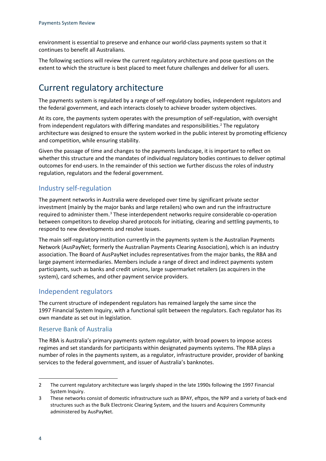environment is essential to preserve and enhance our world-class payments system so that it continues to benefit all Australians.

The following sections will review the current regulatory architecture and pose questions on the extent to which the structure is best placed to meet future challenges and deliver for all users.

### <span id="page-6-0"></span>Current regulatory architecture

The payments system is regulated by a range of self-regulatory bodies, independent regulators and the federal government, and each interacts closely to achieve broader system objectives.

At its core, the payments system operates with the presumption of self-regulation, with oversight from independent regulators with differing mandates and responsibilities.[2](#page-6-3) The regulatory architecture was designed to ensure the system worked in the public interest by promoting efficiency and competition, while ensuring stability.

Given the passage of time and changes to the payments landscape, it is important to reflect on whether this structure and the mandates of individual regulatory bodies continues to deliver optimal outcomes for end-users. In the remainder of this section we further discuss the roles of industry regulation, regulators and the federal government.

#### <span id="page-6-1"></span>Industry self-regulation

The payment networks in Australia were developed over time by significant private sector investment (mainly by the major banks and large retailers) who own and run the infrastructure required to administer them.[3](#page-6-4) These interdependent networks require considerable co-operation between competitors to develop shared protocols for initiating, clearing and settling payments, to respond to new developments and resolve issues.

The main self-regulatory institution currently in the payments system is the Australian Payments Network (AusPayNet; formerly the Australian Payments Clearing Association), which is an industry association. The Board of AusPayNet includes representatives from the major banks, the RBA and large payment intermediaries. Members include a range of direct and indirect payments system participants, such as banks and credit unions, large supermarket retailers (as acquirers in the system), card schemes, and other payment service providers.

#### <span id="page-6-2"></span>Independent regulators

The current structure of independent regulators has remained largely the same since the 1997 Financial System Inquiry, with a functional split between the regulators. Each regulator has its own mandate as set out in legislation.

#### Reserve Bank of Australia

The RBA is Australia's primary payments system regulator, with broad powers to impose access regimes and set standards for participants within designated payments systems. The RBA plays a number of roles in the payments system, as a regulator, infrastructure provider, provider of banking services to the federal government, and issuer of Australia's banknotes.

<span id="page-6-3"></span><sup>2</sup> The current regulatory architecture was largely shaped in the late 1990s following the 1997 Financial System Inquiry.

<span id="page-6-4"></span><sup>3</sup> These networks consist of domestic infrastructure such as BPAY, eftpos, the NPP and a variety of back-end structures such as the Bulk Electronic Clearing System, and the Issuers and Acquirers Community administered by AusPayNet.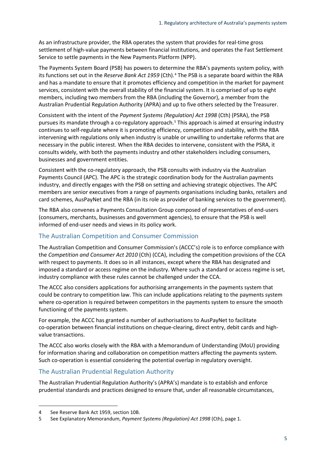As an infrastructure provider, the RBA operates the system that provides for real-time gross settlement of high-value payments between financial institutions, and operates the Fast Settlement Service to settle payments in the New Payments Platform (NPP).

The Payments System Board (PSB) has powers to determine the RBA's payments system policy, with its functions set out in the *Reserve Bank Act 1959* (Cth).[4](#page-7-0) The PSB is a separate board within the RBA and has a mandate to ensure that it promotes efficiency and competition in the market for payment services, consistent with the overall stability of the financial system. It is comprised of up to eight members, including two members from the RBA (including the Governor), a member from the Australian Prudential Regulation Authority (APRA) and up to five others selected by the Treasurer.

Consistent with the intent of the *Payment Systems (Regulation) Act 1998* (Cth) (PSRA), the PSB pursues its mandate through a co-regulatory approach.<sup>[5](#page-7-1)</sup> This approach is aimed at ensuring industry continues to self-regulate where it is promoting efficiency, competition and stability, with the RBA intervening with regulations only when industry is unable or unwilling to undertake reforms that are necessary in the public interest. When the RBA decides to intervene, consistent with the PSRA, it consults widely, with both the payments industry and other stakeholders including consumers, businesses and government entities.

Consistent with the co-regulatory approach, the PSB consults with industry via the Australian Payments Council (APC). The APC is the strategic coordination body for the Australian payments industry, and directly engages with the PSB on setting and achieving strategic objectives. The APC members are senior executives from a range of payments organisations including banks, retailers and card schemes, AusPayNet and the RBA (in its role as provider of banking services to the government).

The RBA also convenes a Payments Consultation Group composed of representatives of end-users (consumers, merchants, businesses and government agencies), to ensure that the PSB is well informed of end-user needs and views in its policy work.

#### The Australian Competition and Consumer Commission

The Australian Competition and Consumer Commission's (ACCC's) role is to enforce compliance with the *Competition and Consumer Act 2010* (Cth) (CCA), including the competition provisions of the CCA with respect to payments. It does so in all instances, except where the RBA has designated and imposed a standard or access regime on the industry. Where such a standard or access regime is set, industry compliance with these rules cannot be challenged under the CCA.

The ACCC also considers applications for authorising arrangements in the payments system that could be contrary to competition law. This can include applications relating to the payments system where co-operation is required between competitors in the payments system to ensure the smooth functioning of the payments system.

For example, the ACCC has granted a number of authorisations to AusPayNet to facilitate co-operation between financial institutions on cheque-clearing, direct entry, debit cards and highvalue transactions.

The ACCC also works closely with the RBA with a Memorandum of Understanding (MoU) providing for information sharing and collaboration on competition matters affecting the payments system. Such co-operation is essential considering the potential overlap in regulatory oversight.

#### The Australian Prudential Regulation Authority

The Australian Prudential Regulation Authority's (APRA's) mandate is to establish and enforce prudential standards and practices designed to ensure that, under all reasonable circumstances,

<span id="page-7-0"></span><sup>4</sup> See Reserve Bank Act 1959, section 10B.

<span id="page-7-1"></span><sup>5</sup> See Explanatory Memorandum, *Payment Systems (Regulation) Act 1998* (Cth), page 1.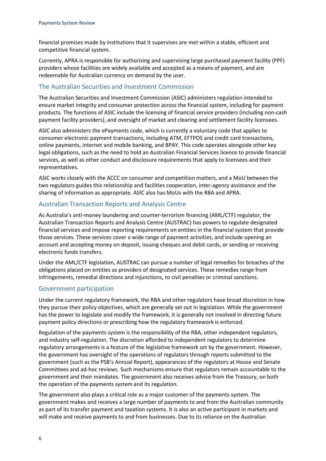financial promises made by institutions that it supervises are met within a stable, efficient and competitive financial system.

Currently, APRA is responsible for authorising and supervising large purchased payment facility (PPF) providers whose facilities are widely available and accepted as a means of payment, and are redeemable for Australian currency on demand by the user.

#### The Australian Securities and Investment Commission

The Australian Securities and Investment Commission (ASIC) administers regulation intended to ensure market integrity and consumer protection across the financial system, including for payment products. The functions of ASIC include the licensing of financial service providers (including non-cash payment facility providers), and oversight of market and clearing and settlement facility licensees.

ASIC also administers the ePayments code, which is currently a voluntary code that applies to consumer electronic payment transactions, including ATM, EFTPOS and credit card transactions, online payments, internet and mobile banking, and BPAY. This code operates alongside other key legal obligations, such as the need to hold an Australian Financial Services licence to provide financial services, as well as other conduct and disclosure requirements that apply to licensees and their representatives.

ASIC works closely with the ACCC on consumer and competition matters, and a MoU between the two regulators guides this relationship and facilities cooperation, inter-agency assistance and the sharing of information as appropriate. ASIC also has MoUs with the RBA and APRA.

#### Australian Transaction Reports and Analysis Centre

As Australia's anti-money laundering and counter-terrorism financing (AML/CTF) regulator, the Australian Transaction Reports and Analysis Centre (AUSTRAC) has powers to regulate designated financial services and impose reporting requirements on entities in the financial system that provide those services. These services cover a wide range of payment activities, and include opening an account and accepting money on deposit, issuing cheques and debit cards, or sending or receiving electronic funds transfers.

Under the AML/CTF legislation, AUSTRAC can pursue a number of legal remedies for breaches of the obligations placed on entities as providers of designated services. These remedies range from infringements, remedial directions and injunctions, to civil penalties or criminal sanctions.

#### Government participation

Under the current regulatory framework, the RBA and other regulators have broad discretion in how they pursue their policy objectives, which are generally set out in legislation. While the government has the power to legislate and modify the framework, it is generally not involved in directing future payment policy directions or prescribing how the regulatory framework is enforced.

Regulation of the payments system is the responsibility of the RBA, other independent regulators, and industry self-regulation. The discretion afforded to independent regulators to determine regulatory arrangements is a feature of the legislative framework set by the government. However, the government has oversight of the operations of regulators through reports submitted to the government (such as the PSB's Annual Report), appearances of the regulators at House and Senate Committees and ad-hoc reviews. Such mechanisms ensure that regulators remain accountable to the government and their mandates. The government also receives advice from the Treasury, on both the operation of the payments system and its regulation.

The government also plays a critical role as a major customer of the payments system. The government makes and receives a large number of payments to and from the Australian community as part of its transfer payment and taxation systems. It is also an active participant in markets and will make and receive payments to and from businesses. Due to its reliance on the Australian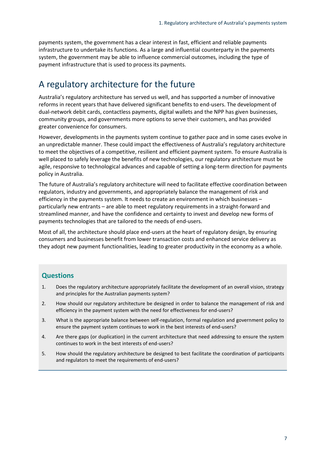payments system, the government has a clear interest in fast, efficient and reliable payments infrastructure to undertake its functions. As a large and influential counterparty in the payments system, the government may be able to influence commercial outcomes, including the type of payment infrastructure that is used to process its payments.

### <span id="page-9-0"></span>A regulatory architecture for the future

Australia's regulatory architecture has served us well, and has supported a number of innovative reforms in recent years that have delivered significant benefits to end-users. The development of dual-network debit cards, contactless payments, digital wallets and the NPP has given businesses, community groups, and governments more options to serve their customers, and has provided greater convenience for consumers.

However, developments in the payments system continue to gather pace and in some cases evolve in an unpredictable manner. These could impact the effectiveness of Australia's regulatory architecture to meet the objectives of a competitive, resilient and efficient payment system. To ensure Australia is well placed to safely leverage the benefits of new technologies, our regulatory architecture must be agile, responsive to technological advances and capable of setting a long-term direction for payments policy in Australia.

The future of Australia's regulatory architecture will need to facilitate effective coordination between regulators, industry and governments, and appropriately balance the management of risk and efficiency in the payments system. It needs to create an environment in which businesses – particularly new entrants – are able to meet regulatory requirements in a straight-forward and streamlined manner, and have the confidence and certainty to invest and develop new forms of payments technologies that are tailored to the needs of end-users.

Most of all, the architecture should place end-users at the heart of regulatory design, by ensuring consumers and businesses benefit from lower transaction costs and enhanced service delivery as they adopt new payment functionalities, leading to greater productivity in the economy as a whole.

#### **Questions**

- 1. Does the regulatory architecture appropriately facilitate the development of an overall vision, strategy and principles for the Australian payments system?
- 2. How should our regulatory architecture be designed in order to balance the management of risk and efficiency in the payment system with the need for effectiveness for end-users?
- 3. What is the appropriate balance between self-regulation, formal regulation and government policy to ensure the payment system continues to work in the best interests of end-users?
- 4. Are there gaps (or duplication) in the current architecture that need addressing to ensure the system continues to work in the best interests of end-users?
- 5. How should the regulatory architecture be designed to best facilitate the coordination of participants and regulators to meet the requirements of end-users?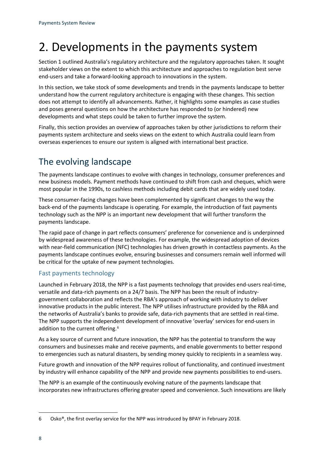# <span id="page-10-0"></span>2. Developments in the payments system

Section 1 outlined Australia's regulatory architecture and the regulatory approaches taken. It sought stakeholder views on the extent to which this architecture and approaches to regulation best serve end-users and take a forward-looking approach to innovations in the system.

In this section, we take stock of some developments and trends in the payments landscape to better understand how the current regulatory architecture is engaging with these changes. This section does not attempt to identify all advancements. Rather, it highlights some examples as case studies and poses general questions on how the architecture has responded to (or hindered) new developments and what steps could be taken to further improve the system.

Finally, this section provides an overview of approaches taken by other jurisdictions to reform their payments system architecture and seeks views on the extent to which Australia could learn from overseas experiences to ensure our system is aligned with international best practice.

### <span id="page-10-1"></span>The evolving landscape

The payments landscape continues to evolve with changes in technology, consumer preferences and new business models. Payment methods have continued to shift from cash and cheques, which were most popular in the 1990s, to cashless methods including debit cards that are widely used today.

These consumer-facing changes have been complemented by significant changes to the way the back-end of the payments landscape is operating. For example, the introduction of fast payments technology such as the NPP is an important new development that will further transform the payments landscape.

The rapid pace of change in part reflects consumers' preference for convenience and is underpinned by widespread awareness of these technologies. For example, the widespread adoption of devices with near-field communication (NFC) technologies has driven growth in contactless payments. As the payments landscape continues evolve, ensuring businesses and consumers remain well informed will be critical for the uptake of new payment technologies.

#### Fast payments technology

Launched in February 2018, the NPP is a fast payments technology that provides end-users real-time, versatile and data-rich payments on a 24/7 basis. The NPP has been the result of industrygovernment collaboration and reflects the RBA's approach of working with industry to deliver innovative products in the public interest. The NPP utilises infrastructure provided by the RBA and the networks of Australia's banks to provide safe, data-rich payments that are settled in real-time. The NPP supports the independent development of innovative 'overlay' services for end-users in addition to the current offering.<sup>[6](#page-10-2)</sup>

As a key source of current and future innovation, the NPP has the potential to transform the way consumers and businesses make and receive payments, and enable governments to better respond to emergencies such as natural disasters, by sending money quickly to recipients in a seamless way.

Future growth and innovation of the NPP requires rollout of functionality, and continued investment by industry will enhance capability of the NPP and provide new payments possibilities to end-users.

The NPP is an example of the continuously evolving nature of the payments landscape that incorporates new infrastructures offering greater speed and convenience. Such innovations are likely

<span id="page-10-2"></span><sup>6</sup> Osko®, the first overlay service for the NPP was introduced by BPAY in February 2018.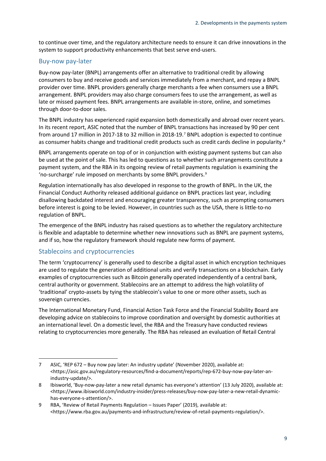to continue over time, and the regulatory architecture needs to ensure it can drive innovations in the system to support productivity enhancements that best serve end-users.

#### Buy-now pay-later

Buy-now pay-later (BNPL) arrangements offer an alternative to traditional credit by allowing consumers to buy and receive goods and services immediately from a merchant, and repay a BNPL provider over time. BNPL providers generally charge merchants a fee when consumers use a BNPL arrangement. BNPL providers may also charge consumers fees to use the arrangement, as well as late or missed payment fees. BNPL arrangements are available in-store, online, and sometimes through door-to-door sales.

The BNPL industry has experienced rapid expansion both domestically and abroad over recent years. In its recent report, ASIC noted that the number of BNPL transactions has increased by 90 per cent from around 17 million in 2017-18 to 32 million in 2018-19. [7](#page-11-0) BNPL adoption is expected to continue as consumer habits change and traditional credit products such as credit cards decline in popularity.<sup>[8](#page-11-1)</sup>

BNPL arrangements operate on top of or in conjunction with existing payment systems but can also be used at the point of sale. This has led to questions as to whether such arrangements constitute a payment system, and the RBA in its ongoing review of retail payments regulation is examining the 'no-surcharge' rule imposed on merchants by some BNPL providers.<sup>[9](#page-11-2)</sup>

Regulation internationally has also developed in response to the growth of BNPL. In the UK, the Financial Conduct Authority released additional guidance on BNPL practices last year, including disallowing backdated interest and encouraging greater transparency, such as prompting consumers before interest is going to be levied. However, in countries such as the USA, there is little-to-no regulation of BNPL.

The emergence of the BNPL industry has raised questions as to whether the regulatory architecture is flexible and adaptable to determine whether new innovations such as BNPL are payment systems, and if so, how the regulatory framework should regulate new forms of payment.

#### Stablecoins and cryptocurrencies

l

The term 'cryptocurrency' is generally used to describe a digital asset in which encryption techniques are used to regulate the generation of additional units and verify transactions on a blockchain. Early examples of cryptocurrencies such as Bitcoin generally operated independently of a central bank, central authority or government. Stablecoins are an attempt to address the high volatility of 'traditional' crypto-assets by tying the stablecoin's value to one or more other assets, such as sovereign currencies.

The International Monetary Fund, Financial Action Task Force and the Financial Stability Board are developing advice on stablecoins to improve coordination and oversight by domestic authorities at an international level. On a domestic level, the RBA and the Treasury have conducted reviews relating to cryptocurrencies more generally. The RBA has released an evaluation of Retail Central

<span id="page-11-0"></span><sup>7</sup> ASIC, 'REP 672 – Buy now pay later: An industry update' (November 2020), available at: [<https://asic.gov.au/regulatory-resources/find-a-document/reports/rep-672-buy-now-pay-later-an](https://asic.gov.au/regulatory-resources/find-a-document/reports/rep-672-buy-now-pay-later-an-industry-update/)[industry-update/>](https://asic.gov.au/regulatory-resources/find-a-document/reports/rep-672-buy-now-pay-later-an-industry-update/).

<span id="page-11-1"></span><sup>8</sup> Ibisworld, 'Buy-now-pay-later a new retail dynamic has everyone's attention' (13 July 2020), available at: [<https://www.ibisworld.com/industry-insider/press-releases/buy-now-pay-later-a-new-retail-dynamic](https://www.ibisworld.com/industry-insider/press-releases/buy-now-pay-later-a-new-retail-dynamic-has-everyone-s-attention/)[has-everyone-s-attention/>](https://www.ibisworld.com/industry-insider/press-releases/buy-now-pay-later-a-new-retail-dynamic-has-everyone-s-attention/).

<span id="page-11-2"></span><sup>9</sup> RBA, 'Review of Retail Payments Regulation – Issues Paper' (2019), available at: [<https://www.rba.gov.au/payments-and-infrastructure/review-of-retail-payments-regulation/>](https://www.rba.gov.au/payments-and-infrastructure/review-of-retail-payments-regulation/).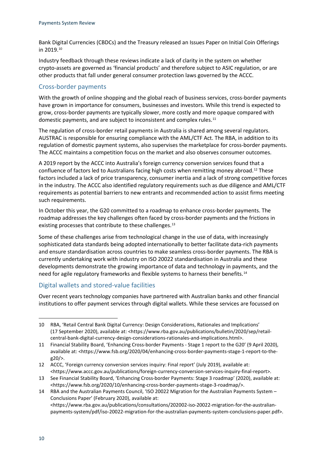Bank Digital Currencies (CBDCs) and the Treasury released an Issues Paper on Initial Coin Offerings in 2019.[10](#page-12-0)

Industry feedback through these reviews indicate a lack of clarity in the system on whether crypto-assets are governed as 'financial products' and therefore subject to ASIC regulation, or are other products that fall under general consumer protection laws governed by the ACCC.

#### Cross-border payments

With the growth of online shopping and the global reach of business services, cross-border payments have grown in importance for consumers, businesses and investors. While this trend is expected to grow, cross-border payments are typically slower, more costly and more opaque compared with domestic payments, and are subject to inconsistent and complex rules.<sup>[11](#page-12-1)</sup>

The regulation of cross-border retail payments in Australia is shared among several regulators. AUSTRAC is responsible for ensuring compliance with the AML/CTF Act. The RBA, in addition to its regulation of domestic payment systems, also supervises the marketplace for cross-border payments. The ACCC maintains a competition focus on the market and also observes consumer outcomes.

A 2019 report by the ACCC into Australia's foreign currency conversion services found that a confluence of factors led to Australians facing high costs when remitting money abroad.<sup>[12](#page-12-2)</sup> These factors included a lack of price transparency, consumer inertia and a lack of strong competitive forces in the industry. The ACCC also identified regulatory requirements such as due diligence and AML/CTF requirements as potential barriers to new entrants and recommended action to assist firms meeting such requirements.

In October this year, the G20 committed to a roadmap to enhance cross-border payments. The roadmap addresses the key challenges often faced by cross-border payments and the frictions in existing processes that contribute to these challenges.<sup>[13](#page-12-3)</sup>

Some of these challenges arise from technological change in the use of data, with increasingly sophisticated data standards being adopted internationally to better facilitate data-rich payments and ensure standardisation across countries to make seamless cross-border payments. The RBA is currently undertaking work with industry on ISO 20022 standardisation in Australia and these developments demonstrate the growing importance of data and technology in payments, and the need for agile regulatory frameworks and flexible systems to harness their benefits.<sup>[14](#page-12-4)</sup>

#### Digital wallets and stored-value facilities

Over recent years technology companies have partnered with Australian banks and other financial institutions to offer payment services through digital wallets. While these services are focussed on

<span id="page-12-0"></span><sup>10</sup> RBA, 'Retail Central Bank Digital Currency: Design Considerations, Rationales and Implications' (17 September 2020), available at: [<https://www.rba.gov.au/publications/bulletin/2020/sep/retail](https://www.rba.gov.au/publications/bulletin/2020/sep/retail-central-bank-digital-currency-design-considerations-rationales-and-implications.html)[central-bank-digital-currency-design-considerations-rationales-and-implications.html>](https://www.rba.gov.au/publications/bulletin/2020/sep/retail-central-bank-digital-currency-design-considerations-rationales-and-implications.html).

<span id="page-12-1"></span><sup>11</sup> Financial Stability Board, 'Enhancing Cross-border Payments - Stage 1 report to the G20' (9 April 2020), available at: [<https://www.fsb.org/2020/04/enhancing-cross-border-payments-stage-1-report-to-the](https://www.fsb.org/2020/04/enhancing-cross-border-payments-stage-1-report-to-the-g20/)[g20/>](https://www.fsb.org/2020/04/enhancing-cross-border-payments-stage-1-report-to-the-g20/).

<span id="page-12-2"></span><sup>12</sup> ACCC, 'Foreign currency conversion services inquiry: Final report' (July 2019), available at: [<https://www.accc.gov.au/publications/foreign-currency-conversion-services-inquiry-final-report>](https://www.accc.gov.au/publications/foreign-currency-conversion-services-inquiry-final-report).

<span id="page-12-3"></span><sup>13</sup> See Financial Stability Board, 'Enhancing Cross-border Payments: Stage 3 roadmap' (2020), available at: [<https://www.fsb.org/2020/10/enhancing-cross-border-payments-stage-3-roadmap/>](https://www.fsb.org/2020/10/enhancing-cross-border-payments-stage-3-roadmap/).

<span id="page-12-4"></span><sup>14</sup> RBA and the Australian Payments Council, 'ISO 20022 Migration for the Australian Payments System – Conclusions Paper' (February 2020), available at: [<https://www.rba.gov.au/publications/consultations/202002-iso-20022-migration-for-the-australian](https://www.rba.gov.au/publications/consultations/202002-iso-20022-migration-for-the-australian-payments-system/pdf/iso-20022-migration-for-the-australian-payments-system-conclusions-paper.pdf)[payments-system/pdf/iso-20022-migration-for-the-australian-payments-system-conclusions-paper.pdf>](https://www.rba.gov.au/publications/consultations/202002-iso-20022-migration-for-the-australian-payments-system/pdf/iso-20022-migration-for-the-australian-payments-system-conclusions-paper.pdf).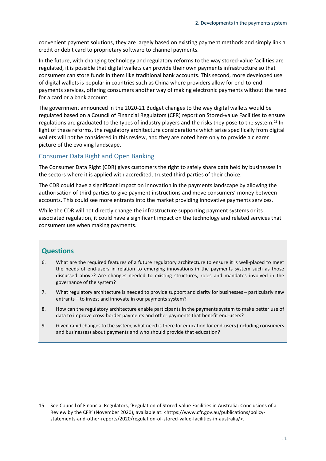convenient payment solutions, they are largely based on existing payment methods and simply link a credit or debit card to proprietary software to channel payments.

In the future, with changing technology and regulatory reforms to the way stored-value facilities are regulated, it is possible that digital wallets can provide their own payments infrastructure so that consumers can store funds in them like traditional bank accounts. This second, more developed use of digital wallets is popular in countries such as China where providers allow for end-to-end payments services, offering consumers another way of making electronic payments without the need for a card or a bank account.

The government announced in the 2020-21 Budget changes to the way digital wallets would be regulated based on a Council of Financial Regulators (CFR) report on Stored-value Facilities to ensure regulations are graduated to the types of industry players and the risks they pose to the system.[15](#page-13-0) In light of these reforms, the regulatory architecture considerations which arise specifically from digital wallets will not be considered in this review, and they are noted here only to provide a clearer picture of the evolving landscape.

#### Consumer Data Right and Open Banking

The Consumer Data Right (CDR) gives customers the right to safely share data held by businesses in the sectors where it is applied with accredited, trusted third parties of their choice.

The CDR could have a significant impact on innovation in the payments landscape by allowing the authorisation of third parties to give payment instructions and move consumers' money between accounts. This could see more entrants into the market providing innovative payments services.

While the CDR will not directly change the infrastructure supporting payment systems or its associated regulation, it could have a significant impact on the technology and related services that consumers use when making payments.

#### **Questions**

- 6. What are the required features of a future regulatory architecture to ensure it is well-placed to meet the needs of end-users in relation to emerging innovations in the payments system such as those discussed above? Are changes needed to existing structures, roles and mandates involved in the governance of the system?
- 7. What regulatory architecture is needed to provide support and clarity for businesses particularly new entrants – to invest and innovate in our payments system?
- 8. How can the regulatory architecture enable participants in the payments system to make better use of data to improve cross-border payments and other payments that benefit end-users?
- 9. Given rapid changes to the system, what need is there for education for end-users (including consumers and businesses) about payments and who should provide that education?

<span id="page-13-0"></span><sup>15</sup> See Council of Financial Regulators, 'Regulation of Stored-value Facilities in Australia: Conclusions of a Review by the CFR' (November 2020), available at: [<https://www.cfr.gov.au/publications/policy](https://www.cfr.gov.au/publications/policy-statements-and-other-reports/2020/regulation-of-stored-value-facilities-in-australia/)[statements-and-other-reports/2020/regulation-of-stored-value-facilities-in-australia/>](https://www.cfr.gov.au/publications/policy-statements-and-other-reports/2020/regulation-of-stored-value-facilities-in-australia/).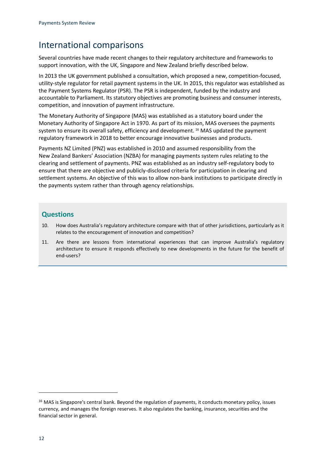### <span id="page-14-0"></span>International comparisons

Several countries have made recent changes to their regulatory architecture and frameworks to support innovation, with the UK, Singapore and New Zealand briefly described below.

In 2013 the UK government published a consultation, which proposed a new, competition-focused, utility-style regulator for retail payment systems in the UK. In 2015, this regulator was established as the Payment Systems Regulator (PSR). The PSR is independent, funded by the industry and accountable to Parliament. Its statutory objectives are promoting business and consumer interests, competition, and innovation of payment infrastructure.

The Monetary Authority of Singapore (MAS) was established as a statutory board under the Monetary Authority of Singapore Act in 1970. As part of its mission, MAS oversees the payments system to ensure its overall safety, efficiency and development. [16](#page-14-1) MAS updated the payment regulatory framework in 2018 to better encourage innovative businesses and products.

Payments NZ Limited (PNZ) was established in 2010 and assumed responsibility from the New Zealand Bankers' Association (NZBA) for managing payments system rules relating to the clearing and settlement of payments. PNZ was established as an industry self-regulatory body to ensure that there are objective and publicly-disclosed criteria for participation in clearing and settlement systems. An objective of this was to allow non-bank institutions to participate directly in the payments system rather than through agency relationships.

#### **Questions**

- 10. How does Australia's regulatory architecture compare with that of other jurisdictions, particularly as it relates to the encouragement of innovation and competition?
- 11. Are there are lessons from international experiences that can improve Australia's regulatory architecture to ensure it responds effectively to new developments in the future for the benefit of end-users?

<span id="page-14-1"></span><sup>&</sup>lt;sup>16</sup> MAS is Singapore's central bank. Beyond the regulation of payments, it conducts monetary policy, issues currency, and manages the foreign reserves. It also regulates the banking, insurance, securities and the financial sector in general.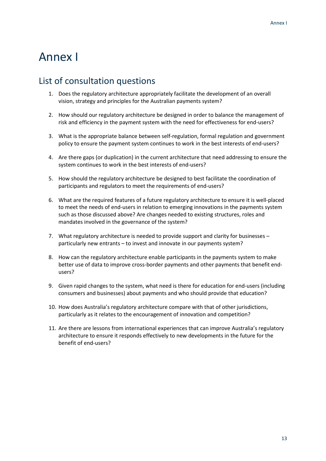# <span id="page-15-0"></span>Annex I

### <span id="page-15-1"></span>List of consultation questions

- 1. Does the regulatory architecture appropriately facilitate the development of an overall vision, strategy and principles for the Australian payments system?
- 2. How should our regulatory architecture be designed in order to balance the management of risk and efficiency in the payment system with the need for effectiveness for end-users?
- 3. What is the appropriate balance between self-regulation, formal regulation and government policy to ensure the payment system continues to work in the best interests of end-users?
- 4. Are there gaps (or duplication) in the current architecture that need addressing to ensure the system continues to work in the best interests of end-users?
- 5. How should the regulatory architecture be designed to best facilitate the coordination of participants and regulators to meet the requirements of end-users?
- 6. What are the required features of a future regulatory architecture to ensure it is well-placed to meet the needs of end-users in relation to emerging innovations in the payments system such as those discussed above? Are changes needed to existing structures, roles and mandates involved in the governance of the system?
- 7. What regulatory architecture is needed to provide support and clarity for businesses particularly new entrants – to invest and innovate in our payments system?
- 8. How can the regulatory architecture enable participants in the payments system to make better use of data to improve cross-border payments and other payments that benefit endusers?
- 9. Given rapid changes to the system, what need is there for education for end-users (including consumers and businesses) about payments and who should provide that education?
- 10. How does Australia's regulatory architecture compare with that of other jurisdictions, particularly as it relates to the encouragement of innovation and competition?
- 11. Are there are lessons from international experiences that can improve Australia's regulatory architecture to ensure it responds effectively to new developments in the future for the benefit of end-users?